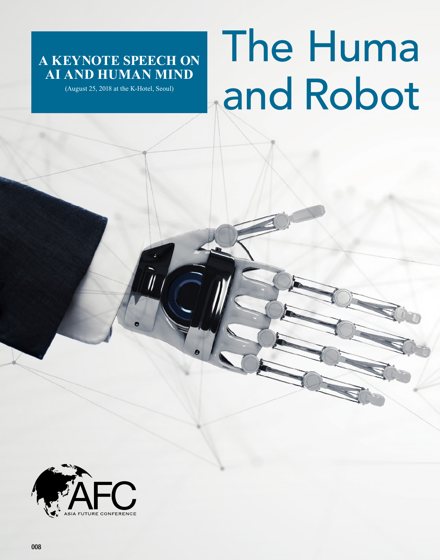## **A KEYNOTE SPEECH ON AI AND HUMAN MIND**

(August 25, 2018 at the K-Hotel, Seoul)

## The Huma and Robot

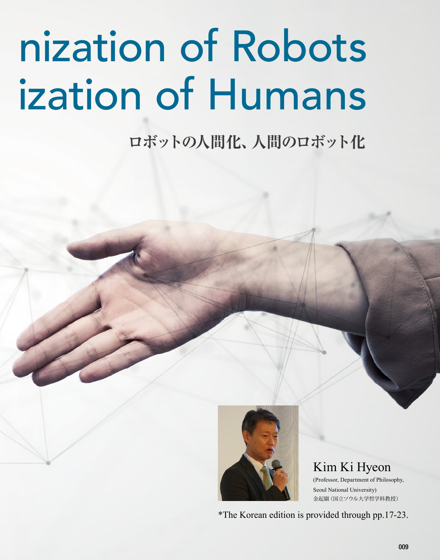# nization of Robots ization of Humans

**ロボットの人間化、人間のロボット化**



Kim Ki Hyeon (Professor, Department of Philosophy, Seoul National University) 金起顯(国立ソウル大学哲学科教授)

\*The Korean edition is provided through pp.17-23.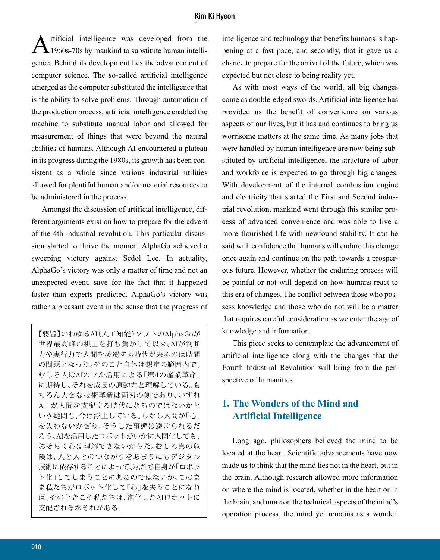#### Kim Ki Hyeon

Artificial intelligence was developed from the 1960s-70s by mankind to substitute human intelligence. Behind its development lies the advancement of computer science. The so-called artificial intelligence emerged as the computer substituted the intelligence that is the ability to solve problems. Through automation of the production process, artificial intelligence enabled the machine to substitute manual labor and allowed for measurement of things that were beyond the natural abilities of humans. Although AI encountered a plateau in its progress during the 1980s, its growth has been consistent as a whole since various industrial utilities allowed for plentiful human and/or material resources to be administered in the process.

Amongst the discussion of artificial intelligence, different arguments exist on how to prepare for the advent of the 4th industrial revolution. This particular discussion started to thrive the moment AlphaGo achieved a sweeping victory against Sedol Lee. In actuality, AlphaGo's victory was only a matter of time and not an unexpected event, save for the fact that it happened faster than experts predicted. AlphaGo's victory was rather a pleasant event in the sense that the progress of

**【要旨】**いわゆるAI(人工知能)ソフトのAlphaGoが 世界最高峰の棋士を打ち負かして以来、AIが判断 力や実行力で人間を凌駕する時代が来るのは時間 の問題となった。そのこと自体は想定の範囲内で、 むしろ人はAIのフル活用による「第4の産業革命」 に期待し、それを成長の原動力と理解している。も ちろん大きな技術革新は両刃の剣であり、いずれ AIが人間を支配する時代になるのではないかと いう疑問も、今は浮上している。しかし人間が「心」 を失わないかぎり、そうした事態は避けられるだ ろう。AIを活用したロボットがいかに人間化しても、 おそらく心は理解できないからだ。むしろ真の危 険は、人と人とのつながりをあまりにもデジタル 技術に依存することによって、私たち自身が「ロボッ ト化」してしまうことにあるのではないか。このま ま私たちがロボット化して「心」を失うことになれ ば、そのときこそ私たちは、進化したAIロボットに 支配されるおそれがある。

intelligence and technology that benefits humans is happening at a fast pace, and secondly, that it gave us a chance to prepare for the arrival of the future, which was expected but not close to being reality yet.

As with most ways of the world, all big changes come as double-edged swords. Artificial intelligence has provided us the benefit of convenience on various aspects of our lives, but it has and continues to bring us worrisome matters at the same time. As many jobs that were handled by human intelligence are now being substituted by artificial intelligence, the structure of labor and workforce is expected to go through big changes. With development of the internal combustion engine and electricity that started the First and Second industrial revolution, mankind went through this similar process of advanced convenience and was able to live a more flourished life with newfound stability. It can be said with confidence that humans will endure this change once again and continue on the path towards a prosperous future. However, whether the enduring process will be painful or not will depend on how humans react to this era of changes. The conflict between those who possess knowledge and those who do not will be a matter that requires careful consideration as we enter the age of knowledge and information.

This piece seeks to contemplate the advancement of artificial intelligence along with the changes that the Fourth Industrial Revolution will bring from the perspective of humanities.

## **1. The Wonders of the Mind and Artificial Intelligence**

Long ago, philosophers believed the mind to be located at the heart. Scientific advancements have now made us to think that the mind lies not in the heart, but in the brain. Although research allowed more information on where the mind is located, whether in the heart or in the brain, and more on the technical aspects of the mind's operation process, the mind yet remains as a wonder.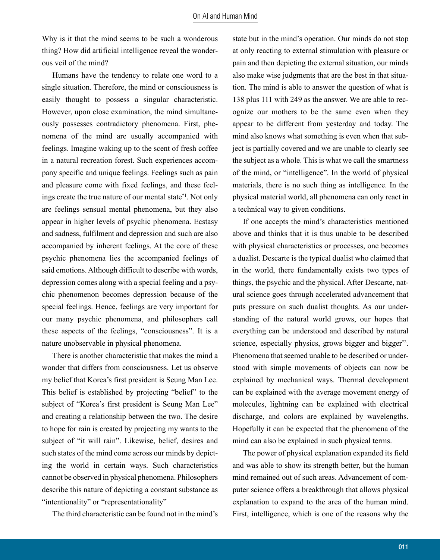Why is it that the mind seems to be such a wonderous thing? How did artificial intelligence reveal the wonderous veil of the mind?

Humans have the tendency to relate one word to a single situation. Therefore, the mind or consciousness is easily thought to possess a singular characteristic. However, upon close examination, the mind simultaneously possesses contradictory phenomena. First, phenomena of the mind are usually accompanied with feelings. Imagine waking up to the scent of fresh coffee in a natural recreation forest. Such experiences accompany specific and unique feelings. Feelings such as pain and pleasure come with fixed feelings, and these feelings create the true nature of our mental state\*1. Not only are feelings sensual mental phenomena, but they also appear in higher levels of psychic phenomena. Ecstasy and sadness, fulfilment and depression and such are also accompanied by inherent feelings. At the core of these psychic phenomena lies the accompanied feelings of said emotions. Although difficult to describe with words, depression comes along with a special feeling and a psychic phenomenon becomes depression because of the special feelings. Hence, feelings are very important for our many psychic phenomena, and philosophers call these aspects of the feelings, "consciousness". It is a nature unobservable in physical phenomena.

There is another characteristic that makes the mind a wonder that differs from consciousness. Let us observe my belief that Korea's first president is Seung Man Lee. This belief is established by projecting "belief" to the subject of "Korea's first president is Seung Man Lee" and creating a relationship between the two. The desire to hope for rain is created by projecting my wants to the subject of "it will rain". Likewise, belief, desires and such states of the mind come across our minds by depicting the world in certain ways. Such characteristics cannot be observed in physical phenomena. Philosophers describe this nature of depicting a constant substance as "intentionality" or "representationality"

The third characteristic can be found not in the mind's

state but in the mind's operation. Our minds do not stop at only reacting to external stimulation with pleasure or pain and then depicting the external situation, our minds also make wise judgments that are the best in that situation. The mind is able to answer the question of what is 138 plus 111 with 249 as the answer. We are able to recognize our mothers to be the same even when they appear to be different from yesterday and today. The mind also knows what something is even when that subject is partially covered and we are unable to clearly see the subject as a whole. This is what we call the smartness of the mind, or "intelligence". In the world of physical materials, there is no such thing as intelligence. In the physical material world, all phenomena can only react in a technical way to given conditions.

If one accepts the mind's characteristics mentioned above and thinks that it is thus unable to be described with physical characteristics or processes, one becomes a dualist. Descarte is the typical dualist who claimed that in the world, there fundamentally exists two types of things, the psychic and the physical. After Descarte, natural science goes through accelerated advancement that puts pressure on such dualist thoughts. As our understanding of the natural world grows, our hopes that everything can be understood and described by natural science, especially physics, grows bigger and bigger\*2. Phenomena that seemed unable to be described or understood with simple movements of objects can now be explained by mechanical ways. Thermal development can be explained with the average movement energy of molecules, lightning can be explained with electrical discharge, and colors are explained by wavelengths. Hopefully it can be expected that the phenomena of the mind can also be explained in such physical terms.

The power of physical explanation expanded its field and was able to show its strength better, but the human mind remained out of such areas. Advancement of computer science offers a breakthrough that allows physical explanation to expand to the area of the human mind. First, intelligence, which is one of the reasons why the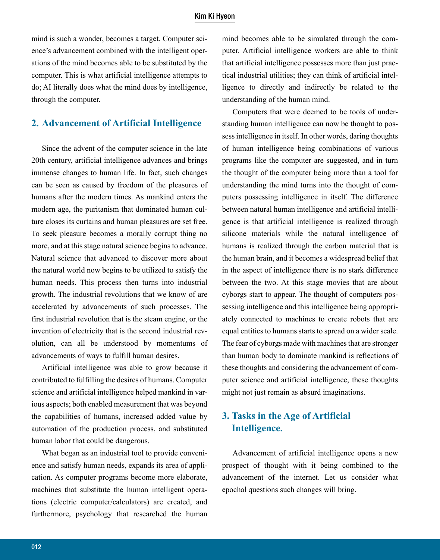mind is such a wonder, becomes a target. Computer science's advancement combined with the intelligent operations of the mind becomes able to be substituted by the computer. This is what artificial intelligence attempts to do; AI literally does what the mind does by intelligence, through the computer.

### **2. Advancement of Artificial Intelligence**

Since the advent of the computer science in the late 20th century, artificial intelligence advances and brings immense changes to human life. In fact, such changes can be seen as caused by freedom of the pleasures of humans after the modern times. As mankind enters the modern age, the puritanism that dominated human culture closes its curtains and human pleasures are set free. To seek pleasure becomes a morally corrupt thing no more, and at this stage natural science begins to advance. Natural science that advanced to discover more about the natural world now begins to be utilized to satisfy the human needs. This process then turns into industrial growth. The industrial revolutions that we know of are accelerated by advancements of such processes. The first industrial revolution that is the steam engine, or the invention of electricity that is the second industrial revolution, can all be understood by momentums of advancements of ways to fulfill human desires.

Artificial intelligence was able to grow because it contributed to fulfilling the desires of humans. Computer science and artificial intelligence helped mankind in various aspects; both enabled measurement that was beyond the capabilities of humans, increased added value by automation of the production process, and substituted human labor that could be dangerous.

What began as an industrial tool to provide convenience and satisfy human needs, expands its area of application. As computer programs become more elaborate, machines that substitute the human intelligent operations (electric computer/calculators) are created, and furthermore, psychology that researched the human mind becomes able to be simulated through the computer. Artificial intelligence workers are able to think that artificial intelligence possesses more than just practical industrial utilities; they can think of artificial intelligence to directly and indirectly be related to the understanding of the human mind.

Computers that were deemed to be tools of understanding human intelligence can now be thought to possess intelligence in itself. In other words, daring thoughts of human intelligence being combinations of various programs like the computer are suggested, and in turn the thought of the computer being more than a tool for understanding the mind turns into the thought of computers possessing intelligence in itself. The difference between natural human intelligence and artificial intelligence is that artificial intelligence is realized through silicone materials while the natural intelligence of humans is realized through the carbon material that is the human brain, and it becomes a widespread belief that in the aspect of intelligence there is no stark difference between the two. At this stage movies that are about cyborgs start to appear. The thought of computers possessing intelligence and this intelligence being appropriately connected to machines to create robots that are equal entities to humans starts to spread on a wider scale. The fear of cyborgs made with machines that are stronger than human body to dominate mankind is reflections of these thoughts and considering the advancement of computer science and artificial intelligence, these thoughts might not just remain as absurd imaginations.

## **3. Tasks in the Age of Artificial Intelligence.**

Advancement of artificial intelligence opens a new prospect of thought with it being combined to the advancement of the internet. Let us consider what epochal questions such changes will bring.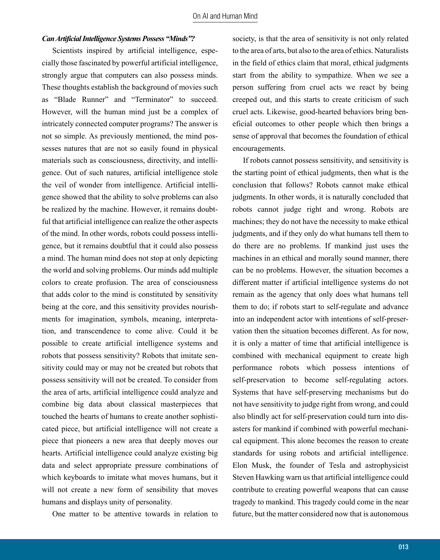#### *Can Artificial Intelligence Systems Possess "Minds"?*

Scientists inspired by artificial intelligence, especially those fascinated by powerful artificial intelligence, strongly argue that computers can also possess minds. These thoughts establish the background of movies such as "Blade Runner" and "Terminator" to succeed. However, will the human mind just be a complex of intricately connected computer programs? The answer is not so simple. As previously mentioned, the mind possesses natures that are not so easily found in physical materials such as consciousness, directivity, and intelligence. Out of such natures, artificial intelligence stole the veil of wonder from intelligence. Artificial intelligence showed that the ability to solve problems can also be realized by the machine. However, it remains doubtful that artificial intelligence can realize the other aspects of the mind. In other words, robots could possess intelligence, but it remains doubtful that it could also possess a mind. The human mind does not stop at only depicting the world and solving problems. Our minds add multiple colors to create profusion. The area of consciousness that adds color to the mind is constituted by sensitivity being at the core, and this sensitivity provides nourishments for imagination, symbols, meaning, interpretation, and transcendence to come alive. Could it be possible to create artificial intelligence systems and robots that possess sensitivity? Robots that imitate sensitivity could may or may not be created but robots that possess sensitivity will not be created. To consider from the area of arts, artificial intelligence could analyze and combine big data about classical masterpieces that touched the hearts of humans to create another sophisticated piece, but artificial intelligence will not create a piece that pioneers a new area that deeply moves our hearts. Artificial intelligence could analyze existing big data and select appropriate pressure combinations of which keyboards to imitate what moves humans, but it will not create a new form of sensibility that moves humans and displays unity of personality.

One matter to be attentive towards in relation to

society, is that the area of sensitivity is not only related to the area of arts, but also to the area of ethics. Naturalists in the field of ethics claim that moral, ethical judgments start from the ability to sympathize. When we see a person suffering from cruel acts we react by being creeped out, and this starts to create criticism of such cruel acts. Likewise, good-hearted behaviors bring beneficial outcomes to other people which then brings a sense of approval that becomes the foundation of ethical encouragements.

If robots cannot possess sensitivity, and sensitivity is the starting point of ethical judgments, then what is the conclusion that follows? Robots cannot make ethical judgments. In other words, it is naturally concluded that robots cannot judge right and wrong. Robots are machines; they do not have the necessity to make ethical judgments, and if they only do what humans tell them to do there are no problems. If mankind just uses the machines in an ethical and morally sound manner, there can be no problems. However, the situation becomes a different matter if artificial intelligence systems do not remain as the agency that only does what humans tell them to do; if robots start to self-regulate and advance into an independent actor with intentions of self-preservation then the situation becomes different. As for now, it is only a matter of time that artificial intelligence is combined with mechanical equipment to create high performance robots which possess intentions of self-preservation to become self-regulating actors. Systems that have self-preserving mechanisms but do not have sensitivity to judge right from wrong, and could also blindly act for self-preservation could turn into disasters for mankind if combined with powerful mechanical equipment. This alone becomes the reason to create standards for using robots and artificial intelligence. Elon Musk, the founder of Tesla and astrophysicist Steven Hawking warn us that artificial intelligence could contribute to creating powerful weapons that can cause tragedy to mankind. This tragedy could come in the near future, but the matter considered now that is autonomous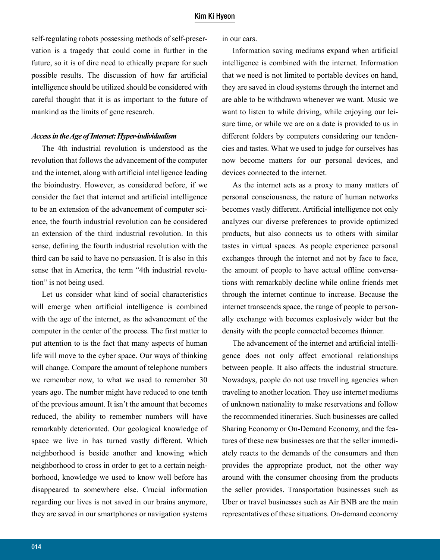self-regulating robots possessing methods of self-preservation is a tragedy that could come in further in the future, so it is of dire need to ethically prepare for such possible results. The discussion of how far artificial intelligence should be utilized should be considered with careful thought that it is as important to the future of mankind as the limits of gene research.

#### *Access in the Age of Internet: Hyper-individualism*

The 4th industrial revolution is understood as the revolution that follows the advancement of the computer and the internet, along with artificial intelligence leading the bioindustry. However, as considered before, if we consider the fact that internet and artificial intelligence to be an extension of the advancement of computer science, the fourth industrial revolution can be considered an extension of the third industrial revolution. In this sense, defining the fourth industrial revolution with the third can be said to have no persuasion. It is also in this sense that in America, the term "4th industrial revolution" is not being used.

Let us consider what kind of social characteristics will emerge when artificial intelligence is combined with the age of the internet, as the advancement of the computer in the center of the process. The first matter to put attention to is the fact that many aspects of human life will move to the cyber space. Our ways of thinking will change. Compare the amount of telephone numbers we remember now, to what we used to remember 30 years ago. The number might have reduced to one tenth of the previous amount. It isn't the amount that becomes reduced, the ability to remember numbers will have remarkably deteriorated. Our geological knowledge of space we live in has turned vastly different. Which neighborhood is beside another and knowing which neighborhood to cross in order to get to a certain neighborhood, knowledge we used to know well before has disappeared to somewhere else. Crucial information regarding our lives is not saved in our brains anymore, they are saved in our smartphones or navigation systems

in our cars.

Information saving mediums expand when artificial intelligence is combined with the internet. Information that we need is not limited to portable devices on hand, they are saved in cloud systems through the internet and are able to be withdrawn whenever we want. Music we want to listen to while driving, while enjoying our leisure time, or while we are on a date is provided to us in different folders by computers considering our tendencies and tastes. What we used to judge for ourselves has now become matters for our personal devices, and devices connected to the internet.

As the internet acts as a proxy to many matters of personal consciousness, the nature of human networks becomes vastly different. Artificial intelligence not only analyzes our diverse preferences to provide optimized products, but also connects us to others with similar tastes in virtual spaces. As people experience personal exchanges through the internet and not by face to face, the amount of people to have actual offline conversations with remarkably decline while online friends met through the internet continue to increase. Because the internet transcends space, the range of people to personally exchange with becomes explosively wider but the density with the people connected becomes thinner.

The advancement of the internet and artificial intelligence does not only affect emotional relationships between people. It also affects the industrial structure. Nowadays, people do not use travelling agencies when traveling to another location. They use internet mediums of unknown nationality to make reservations and follow the recommended itineraries. Such businesses are called Sharing Economy or On-Demand Economy, and the features of these new businesses are that the seller immediately reacts to the demands of the consumers and then provides the appropriate product, not the other way around with the consumer choosing from the products the seller provides. Transportation businesses such as Uber or travel businesses such as Air BNB are the main representatives of these situations. On-demand economy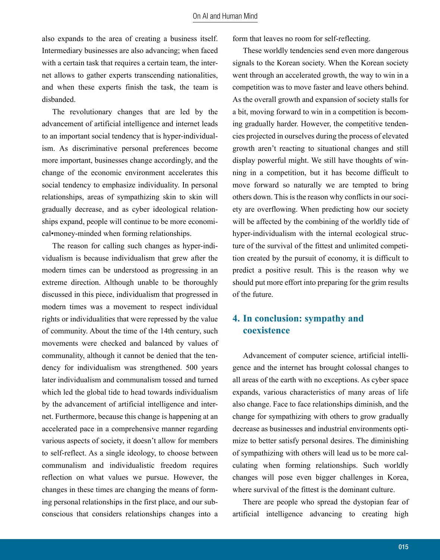also expands to the area of creating a business itself. Intermediary businesses are also advancing; when faced with a certain task that requires a certain team, the internet allows to gather experts transcending nationalities, and when these experts finish the task, the team is disbanded.

The revolutionary changes that are led by the advancement of artificial intelligence and internet leads to an important social tendency that is hyper-individualism. As discriminative personal preferences become more important, businesses change accordingly, and the change of the economic environment accelerates this social tendency to emphasize individuality. In personal relationships, areas of sympathizing skin to skin will gradually decrease, and as cyber ideological relationships expand, people will continue to be more economical•money-minded when forming relationships.

The reason for calling such changes as hyper-individualism is because individualism that grew after the modern times can be understood as progressing in an extreme direction. Although unable to be thoroughly discussed in this piece, individualism that progressed in modern times was a movement to respect individual rights or individualities that were repressed by the value of community. About the time of the 14th century, such movements were checked and balanced by values of communality, although it cannot be denied that the tendency for individualism was strengthened. 500 years later individualism and communalism tossed and turned which led the global tide to head towards individualism by the advancement of artificial intelligence and internet. Furthermore, because this change is happening at an accelerated pace in a comprehensive manner regarding various aspects of society, it doesn't allow for members to self-reflect. As a single ideology, to choose between communalism and individualistic freedom requires reflection on what values we pursue. However, the changes in these times are changing the means of forming personal relationships in the first place, and our subconscious that considers relationships changes into a

form that leaves no room for self-reflecting.

These worldly tendencies send even more dangerous signals to the Korean society. When the Korean society went through an accelerated growth, the way to win in a competition was to move faster and leave others behind. As the overall growth and expansion of society stalls for a bit, moving forward to win in a competition is becoming gradually harder. However, the competitive tendencies projected in ourselves during the process of elevated growth aren't reacting to situational changes and still display powerful might. We still have thoughts of winning in a competition, but it has become difficult to move forward so naturally we are tempted to bring others down. This is the reason why conflicts in our society are overflowing. When predicting how our society will be affected by the combining of the worldly tide of hyper-individualism with the internal ecological structure of the survival of the fittest and unlimited competition created by the pursuit of economy, it is difficult to predict a positive result. This is the reason why we should put more effort into preparing for the grim results of the future.

## **4. In conclusion: sympathy and coexistence**

Advancement of computer science, artificial intelligence and the internet has brought colossal changes to all areas of the earth with no exceptions. As cyber space expands, various characteristics of many areas of life also change. Face to face relationships diminish, and the change for sympathizing with others to grow gradually decrease as businesses and industrial environments optimize to better satisfy personal desires. The diminishing of sympathizing with others will lead us to be more calculating when forming relationships. Such worldly changes will pose even bigger challenges in Korea, where survival of the fittest is the dominant culture.

There are people who spread the dystopian fear of artificial intelligence advancing to creating high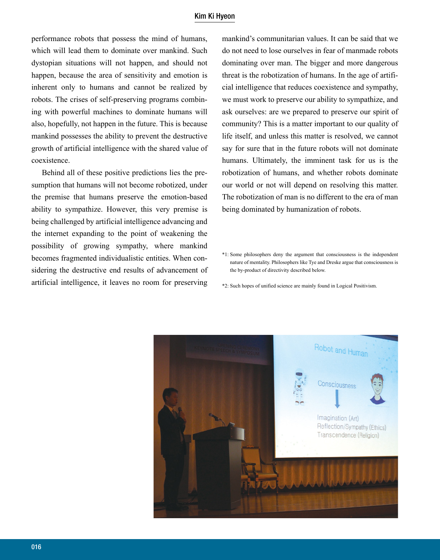#### Kim Ki Hyeon

performance robots that possess the mind of humans, which will lead them to dominate over mankind. Such dystopian situations will not happen, and should not happen, because the area of sensitivity and emotion is inherent only to humans and cannot be realized by robots. The crises of self-preserving programs combining with powerful machines to dominate humans will also, hopefully, not happen in the future. This is because mankind possesses the ability to prevent the destructive growth of artificial intelligence with the shared value of coexistence.

Behind all of these positive predictions lies the presumption that humans will not become robotized, under the premise that humans preserve the emotion-based ability to sympathize. However, this very premise is being challenged by artificial intelligence advancing and the internet expanding to the point of weakening the possibility of growing sympathy, where mankind becomes fragmented individualistic entities. When considering the destructive end results of advancement of artificial intelligence, it leaves no room for preserving

mankind's communitarian values. It can be said that we do not need to lose ourselves in fear of manmade robots dominating over man. The bigger and more dangerous threat is the robotization of humans. In the age of artificial intelligence that reduces coexistence and sympathy, we must work to preserve our ability to sympathize, and ask ourselves: are we prepared to preserve our spirit of community? This is a matter important to our quality of life itself, and unless this matter is resolved, we cannot say for sure that in the future robots will not dominate humans. Ultimately, the imminent task for us is the robotization of humans, and whether robots dominate our world or not will depend on resolving this matter. The robotization of man is no different to the era of man being dominated by humanization of robots.

\*1: Some philosophers deny the argument that consciousness is the independent nature of mentality. Philosophers like Tye and Dreske argue that consciousness is the by-product of directivity described below.

\*2: Such hopes of unified science are mainly found in Logical Positivism.

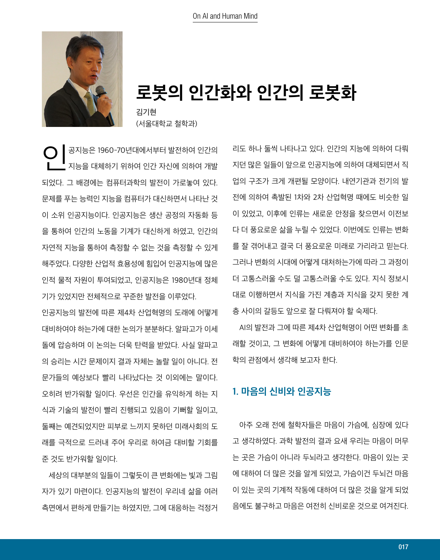

**로봇의 인간화와 인간의 로봇화**

김기현 (서울대학교 철학과)

 $\bigodot$  | <sup>공지능은 1960-70년대에서부터 발전하여 인간의<br>지능을 대체하기 위하여 인간 자신에 의하여 개발</sup> 되었다. 그 배경에는 컴퓨터과학의 발전이 가로놓여 있다. 문제를 푸는 능력인 지능을 컴퓨터가 대신하면서 나타난 것 이 소위 인공지능이다. 인공지능은 생산 공정의 자동화 등 을 통하여 인간의 노동을 기계가 대신하게 하였고, 인간의 자연적 지능을 통하여 측정할 수 없는 것을 측정할 수 있게 해주었다. 다양한 산업적 효용성에 힘입어 인공지능에 많은 인적 물적 자원이 투여되었고, 인공지능은 1980년대 정체 기가 있었지만 전체적으로 꾸준한 발전을 이루었다.

인공지능의 발전에 따른 제4차 산업혁명의 도래에 어떻게 대비하여야 하는가에 대한 논의가 분분하다. 알파고가 이세 돌에 압승하며 이 논의는 더욱 탄력을 받았다. 사실 알파고 의 승리는 시간 문제이지 결과 자체는 놀랄 일이 아니다. 전 문가들의 예상보다 빨리 나타났다는 것 이외에는 말이다. 오히려 반가워할 일이다. 우선은 인간을 유익하게 하는 지 식과 기술의 발전이 빨리 진행되고 있음이 기뻐할 일이고, 둘째는 예견되었지만 피부로 느끼지 못하던 미래사회의 도 래를 극적으로 드러내 주어 우리로 하여금 대비할 기회를 준 것도 반가워할 일이다.

 세상의 대부분의 일들이 그렇듯이 큰 변화에는 빛과 그림 자가 있기 마련이다. 인공지능의 발전이 우리네 삶을 여러 측면에서 편하게 만들기는 하였지만, 그에 대응하는 걱정거 리도 하나 둘씩 나타나고 있다. 인간의 지능에 의하여 다뤄 지던 많은 일들이 앞으로 인공지능에 의하여 대체되면서 직 업의 구조가 크게 개편될 모양이다. 내연기관과 전기의 발 전에 의하여 촉발된 1차와 2차 산업혁명 때에도 비슷한 일 이 있었고, 이후에 인류는 새로운 안정을 찾으면서 이전보 다 더 풍요로운 삶을 누릴 수 있었다. 이번에도 인류는 변화 를 잘 겪어내고 결국 더 풍요로운 미래로 가리라고 믿는다. 그러나 변화의 시대에 어떻게 대처하는가에 따라 그 과정이 더 고통스러울 수도 덜 고통스러울 수도 있다. 지식 정보시 대로 이행하면서 지식을 가진 계층과 지식을 갖지 못한 계 층 사이의 갈등도 앞으로 잘 다뤄져야 할 숙제다.

 AI의 발전과 그에 따른 제4차 산업혁명이 어떤 변화를 초 래할 것이고, 그 변화에 어떻게 대비하여야 하는가를 인문 학의 관점에서 생각해 보고자 한다.

## **1. 마음의 신비와 인공지능**

 아주 오래 전에 철학자들은 마음이 가슴에, 심장에 있다 고 생각하였다. 과학 발전의 결과 요새 우리는 마음이 머무 는 곳은 가슴이 아니라 두뇌라고 생각한다. 마음이 있는 곳 에 대하여 더 많은 것을 알게 되었고, 가슴이건 두뇌건 마음 이 있는 곳의 기계적 작동에 대하여 더 많은 것을 알게 되었 음에도 불구하고 마음은 여전히 신비로운 것으로 여겨진다.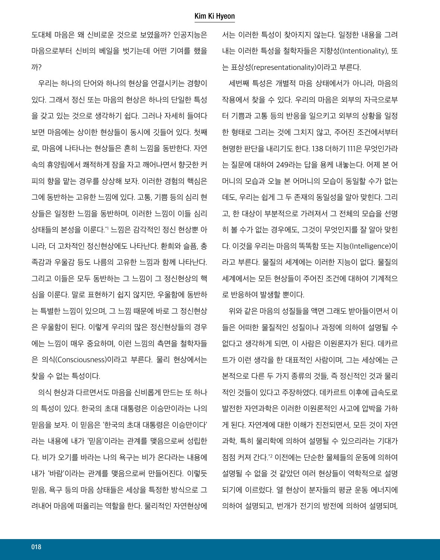도대체 마음은 왜 신비로운 것으로 보였을까? 인공지능은 마음으로부터 신비의 베일을 벗기는데 어떤 기여를 했을 까?

 우리는 하나의 단어와 하나의 현상을 연결시키는 경향이 있다. 그래서 정신 또는 마음의 현상은 하나의 단일한 특성 을 갖고 있는 것으로 생각하기 쉽다. 그러나 자세히 들여다 보면 마음에는 상이한 현상들이 동시에 깃들어 있다. 첫째 로, 마음에 나타나는 현상들은 흔히 느낌을 동반한다. 자연 속의 휴양림에서 쾌적하게 잠을 자고 깨어나면서 향긋한 커 피의 향을 맡는 경우를 상상해 보자. 이러한 경험의 핵심은 그에 동반하는 고유한 느낌에 있다. 고통, 기쁨 등의 심리 현 상들은 일정한 느낌을 동반하며, 이러한 느낌이 이들 심리 상태들의 본성을 이룬다.\*1 느낌은 감각적인 정신 현상뿐 아 니라, 더 고차적인 정신현상에도 나타난다. 환희와 슬픔, 충 족감과 우울감 등도 나름의 고유한 느낌과 함께 나타난다. 그리고 이들은 모두 동반하는 그 느낌이 그 정신현상의 핵 심을 이룬다. 말로 표현하기 쉽지 않지만, 우울함에 동반하 는 특별한 느낌이 있으며, 그 느낌 때문에 바로 그 정신현상 은 우울함이 된다. 이렇게 우리의 많은 정신현상들의 경우 에는 느낌이 매우 중요하며, 이런 느낌의 측면을 철학자들 은 의식(Consciousness)이라고 부른다. 물리 현상에서는 찾을 수 없는 특성이다.

 의식 현상과 다르면서도 마음을 신비롭게 만드는 또 하나 의 특성이 있다. 한국의 초대 대통령은 이승만이라는 나의 믿음을 보자. 이 믿음은 '한국의 초대 대통령은 이승만이다' 라는 내용에 내가 '믿음'이라는 관계를 맺음으로써 성립한 다. 비가 오기를 바라는 나의 욕구는 비가 온다라는 내용에 내가 '바람'이라는 관계를 맺음으로써 만들어진다. 이렇듯 믿음, 욕구 등의 마음 상태들은 세상을 특정한 방식으로 그 려내어 마음에 떠올리는 역할을 한다. 물리적인 자연현상에 서는 이러한 특성이 찾아지지 않는다. 일정한 내용을 그려 내는 이러한 특성을 철학자들은 지향성(Intentionality), 또 는 표상성(representationality)이라고 부른다.

 세번째 특성은 개별적 마음 상태에서가 아니라, 마음의 작용에서 찾을 수 있다. 우리의 마음은 외부의 자극으로부 터 기쁨과 고통 등의 반응을 일으키고 외부의 상황을 일정 한 형태로 그리는 것에 그치지 않고, 주어진 조건에서부터 현명한 판단을 내리기도 한다. 138 더하기 111은 무엇인가라 는 질문에 대하여 249라는 답을 용케 내놓는다. 어제 본 어 머니의 모습과 오늘 본 어머니의 모습이 동일할 수가 없는 데도, 우리는 쉽게 그 두 존재의 동일성을 알아 맞힌다. 그리 고, 한 대상이 부분적으로 가려져서 그 전체의 모습을 선명 히 볼 수가 없는 경우에도, 그것이 무엇인지를 잘 알아 맞힌 다. 이것을 우리는 마음의 똑똑함 또는 지능(Intelligence)이 라고 부른다. 물질의 세계에는 이러한 지능이 없다. 물질의 세계에서는 모든 현상들이 주어진 조건에 대하여 기계적으 로 반응하여 발생할 뿐이다.

 위와 같은 마음의 성질들을 액면 그래도 받아들이면서 이 들은 어떠한 물질적인 성질이나 과정에 의하여 설명될 수 없다고 생각하게 되면, 이 사람은 이원론자가 된다. 데카르 트가 이런 생각을 한 대표적인 사람이며, 그는 세상에는 근 본적으로 다른 두 가지 종류의 것들, 즉 정신적인 것과 물리 적인 것들이 있다고 주장하였다. 데카르트 이후에 급속도로 발전한 자연과학은 이러한 이원론적인 사고에 압박을 가하 게 된다. 자연계에 대한 이해가 진전되면서, 모든 것이 자연 과학, 특히 물리학에 의하여 설명될 수 있으리라는 기대가 점점 커져 간다.\*2 이전에는 단순한 물체들의 운동에 의하여 설명될 수 없을 것 같았던 여러 현상들이 역학적으로 설명 되기에 이르렀다. 열 현상이 분자들의 평균 운동 에너지에 의하여 설명되고, 번개가 전기의 방전에 의하여 설명되며,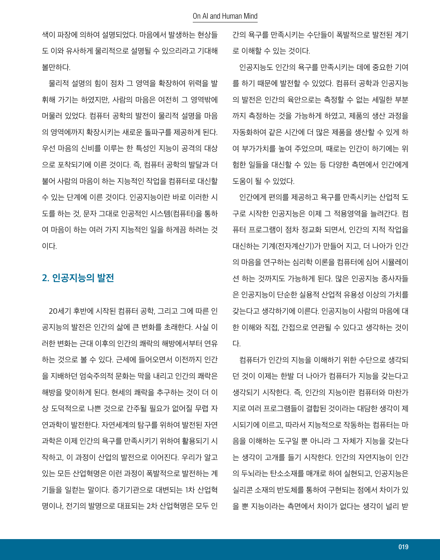색이 파장에 의하여 설명되었다. 마음에서 발생하는 현상들 도 이와 유사하게 물리적으로 설명될 수 있으리라고 기대해 볼만하다.

 물리적 설명의 힘이 점차 그 영역을 확장하여 위력을 발 휘해 가기는 하였지만, 사람의 마음은 여전히 그 영역밖에 머물러 있었다. 컴퓨터 공학의 발전이 물리적 설명을 마음 의 영역에까지 확장시키는 새로운 돌파구를 제공하게 된다. 우선 마음의 신비를 이루는 한 특성인 지능이 공격의 대상 으로 포착되기에 이른 것이다. 즉, 컴퓨터 공학의 발달과 더 불어 사람의 마음이 하는 지능적인 작업을 컴퓨터로 대신할 수 있는 단계에 이른 것이다. 인공지능이란 바로 이러한 시 도를 하는 것, 문자 그대로 인공적인 시스템(컴퓨터)을 통하 여 마음이 하는 여러 가지 지능적인 일을 하게끔 하려는 것 이다.

## **2. 인공지능의 발전**

 20세기 후반에 시작된 컴퓨터 공학, 그리고 그에 따른 인 공지능의 발전은 인간의 삶에 큰 변화를 초래한다. 사실 이 러한 변화는 근대 이후의 인간의 쾌락의 해방에서부터 연유 하는 것으로 볼 수 있다. 근세에 들어오면서 이전까지 인간 을 지배하던 엄숙주의적 문화는 막을 내리고 인간의 쾌락은 해방을 맞이하게 된다. 현세의 쾌락을 추구하는 것이 더 이 상 도덕적으로 나쁜 것으로 간주될 필요가 없어질 무렵 자 연과학이 발전한다. 자연세계의 탐구를 위하여 발전된 자연 과학은 이제 인간의 욕구를 만족시키기 위하여 활용되기 시 작하고, 이 과정이 산업의 발전으로 이어진다. 우리가 알고 있는 모든 산업혁명은 이런 과정이 폭발적으로 발전하는 계 기들을 일컫는 말이다. 증기기관으로 대변되는 1차 산업혁 명이나, 전기의 발명으로 대표되는 2차 산업혁명은 모두 인 간의 욕구를 만족시키는 수단들이 폭발적으로 발전된 계기 로 이해할 수 있는 것이다.

 인공지능도 인간의 욕구를 만족시키는 데에 중요한 기여 를 하기 때문에 발전할 수 있었다. 컴퓨터 공학과 인공지능 의 발전은 인간의 육안으로는 측정할 수 없는 세밀한 부분 까지 측정하는 것을 가능하게 하였고, 제품의 생산 과정을 자동화하여 같은 시간에 더 많은 제품을 생산할 수 있게 하 여 부가가치를 높여 주었으며, 때로는 인간이 하기에는 위 험한 일들을 대신할 수 있는 등 다양한 측면에서 인간에게 도움이 될 수 있었다.

 인간에게 편의를 제공하고 욕구를 만족시키는 산업적 도 구로 시작한 인공지능은 이제 그 적용영역을 늘려간다. 컴 퓨터 프로그램이 점차 정교화 되면서, 인간의 지적 작업을 대신하는 기계(전자계산기)가 만들어 지고, 더 나아가 인간 의 마음을 연구하는 심리학 이론을 컴퓨터에 심어 시뮬레이 션 하는 것까지도 가능하게 된다. 많은 인공지능 종사자들 은 인공지능이 단순한 실용적 산업적 유용성 이상의 가치를 갖는다고 생각하기에 이른다. 인공지능이 사람의 마음에 대 한 이해와 직접, 간접으로 연관될 수 있다고 생각하는 것이 다.

 컴퓨터가 인간의 지능을 이해하기 위한 수단으로 생각되 던 것이 이제는 한발 더 나아가 컴퓨터가 지능을 갖는다고 생각되기 시작한다. 즉, 인간의 지능이란 컴퓨터와 마찬가 지로 여러 프로그램들이 결합된 것이라는 대담한 생각이 제 시되기에 이르고, 따라서 지능적으로 작동하는 컴퓨터는 마 음을 이해하는 도구일 뿐 아니라 그 자체가 지능을 갖는다 는 생각이 고개를 들기 시작한다. 인간의 자연지능이 인간 의 두뇌라는 탄소소재를 매개로 하여 실현되고, 인공지능은 실리콘 소재의 반도체를 통하여 구현되는 점에서 차이가 있 을 뿐 지능이라는 측면에서 차이가 없다는 생각이 널리 받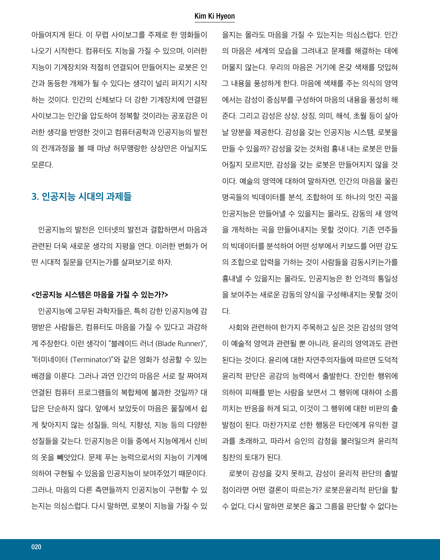#### Kim Ki Hyeon

아들여지게 된다. 이 무렵 사이보그를 주제로 한 영화들이 나오기 시작한다. 컴퓨터도 지능을 가질 수 있으며, 이러한 지능이 기계장치와 적절히 연결되어 만들어지는 로봇은 인 간과 동등한 개체가 될 수 있다는 생각이 널리 퍼지기 시작 하는 것이다. 인간의 신체보다 더 강한 기계장치에 연결된 사이보그는 인간을 압도하여 정복할 것이라는 공포감은 이 러한 생각을 반영한 것이고 컴퓨터공학과 인공지능의 발전 의 전개과정을 볼 때 마냥 허무맹랑한 상상만은 아닐지도 모른다.

## **3. 인공지능 시대의 과제들**

 인공지능의 발전은 인터넷의 발전과 결합하면서 마음과 관련된 더욱 새로운 생각의 지평을 연다. 이러한 변화가 어 떤 시대적 질문을 던지는가를 살펴보기로 하자.

#### **<인공지능 시스템은 마음을 가질 수 있는가?>**

 인공지능에 고무된 과학자들은, 특히 강한 인공지능에 감 명받은 사람들은, 컴퓨터도 마음을 가질 수 있다고 과감하 게 주장한다. 이런 생각이 "블레이드 러너 (Blade Runner)", "터미네이터 (Terminator)"와 같은 영화가 성공할 수 있는 배경을 이룬다. 그러나 과연 인간의 마음은 서로 잘 짜여져 연결된 컴퓨터 프로그램들의 복합체에 불과한 것일까? 대 답은 단순하지 않다. 앞에서 보았듯이 마음은 물질에서 쉽 게 찾아지지 않는 성질들, 의식, 지향성, 지능 등의 다양한 성질들을 갖는다. 인공지능은 이들 중에서 지능에게서 신비 의 옷을 빼앗았다. 문제 푸는 능력으로서의 지능이 기계에 의하여 구현될 수 있음을 인공지능이 보여주었기 때문이다. 그러나, 마음의 다른 측면들까지 인공지능이 구현할 수 있 는지는 의심스럽다. 다시 말하면, 로봇이 지능을 가질 수 있

을지는 몰라도 마음을 가질 수 있는지는 의심스럽다. 인간 의 마음은 세계의 모습을 그려내고 문제를 해결하는 데에 머물지 않는다. 우리의 마음은 거기에 온갖 색채를 덧입혀 그 내용을 풍성하게 한다. 마음에 색채를 주는 의식의 영역 에서는 감성이 중심부를 구성하여 마음의 내용을 풍성히 해 준다. 그리고 감성은 상상, 상징, 의미, 해석, 초월 등이 살아 날 양분을 제공한다. 감성을 갖는 인공지능 시스템, 로봇을 만들 수 있을까? 감성을 갖는 것처럼 흉내 내는 로봇은 만들 어질지 모르지만, 감성을 갖는 로봇은 만들어지지 않을 것 이다. 예술의 영역에 대하여 말하자면, 인간의 마음을 울린 명곡들의 빅데이터를 분석, 조합하여 또 하나의 멋진 곡을 인공지능은 만들어낼 수 있을지는 몰라도, 감동의 새 영역 을 개척하는 곡을 만들어내지는 못할 것이다. 기존 연주들 의 빅데이터를 분석하여 어떤 성부에서 키보드를 어떤 강도 의 조합으로 압력을 가하는 것이 사람들을 감동시키는가를 흉내낼 수 있을지는 몰라도, 인공지능은 한 인격의 통일성 을 보여주는 새로운 감동의 양식을 구성해내지는 못할 것이 다.

 사회와 관련하여 한가지 주목하고 싶은 것은 감성의 영역 이 예술적 영역과 관련될 뿐 아니라, 윤리의 영역과도 관련 된다는 것이다. 윤리에 대한 자연주의자들에 따르면 도덕적 윤리적 판단은 공감의 능력에서 출발한다. 잔인한 행위에 의하여 피해를 받는 사람을 보면서 그 행위에 대하여 소름 끼치는 반응을 하게 되고, 이것이 그 행위에 대한 비판의 출 발점이 된다. 마찬가지로 선한 행동은 타인에게 유익한 결 과를 초래하고, 따라서 승인의 감정을 불러일으켜 윤리적 칭찬의 토대가 된다.

 로봇이 감성을 갖지 못하고, 감성이 윤리적 판단의 출발 점이라면 어떤 결론이 따르는가? 로봇은윤리적 판단을 할 수 없다, 다시 말하면 로봇은 옳고 그름을 판단할 수 없다는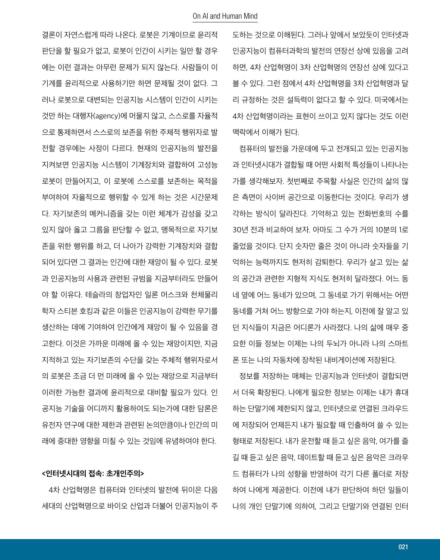결론이 자연스럽게 따라 나온다. 로봇은 기계이므로 윤리적 판단을 할 필요가 없고, 로봇이 인간이 시키는 일만 할 경우 에는 이런 결과는 아무런 문제가 되지 않는다. 사람들이 이 기계를 윤리적으로 사용하기만 하면 문제될 것이 없다. 그 러나 로봇으로 대변되는 인공지능 시스템이 인간이 시키는 것만 하는 대행자(agency)에 머물지 않고, 스스로를 자율적 으로 통제하면서 스스로의 보존을 위한 주체적 행위자로 발 전할 경우에는 사정이 다르다. 현재의 인공지능의 발전을 지켜보면 인공지능 시스템이 기계장치와 결합하여 고성능 로봇이 만들어지고, 이 로봇에 스스로를 보존하는 목적을 부여하여 자율적으로 행위할 수 있게 하는 것은 시간문제 다. 자기보존의 메커니즘을 갖는 이런 체계가 감성을 갖고 있지 않아 옳고 그름을 판단할 수 없고, 맹목적으로 자기보 존을 위한 행위를 하고, 더 나아가 강력한 기계장치와 결합 되어 있다면 그 결과는 인간에 대한 재앙이 될 수 있다. 로봇 과 인공지능의 사용과 관련된 규범을 지금부터라도 만들어 야 할 이유다. 테슬라의 창업자인 일론 머스크와 천체물리 학자 스티븐 호킹과 같은 이들은 인공지능이 강력한 무기를 생산하는 데에 기여하여 인간에게 재앙이 될 수 있음을 경 고한다. 이것은 가까운 미래에 올 수 있는 재앙이지만, 지금 지적하고 있는 자기보존의 수단을 갖는 주체적 행위자로서 의 로봇은 조금 더 먼 미래에 올 수 있는 재앙으로 지금부터 이러한 가능한 결과에 윤리적으로 대비할 필요가 있다. 인 공지능 기술을 어디까지 활용하여도 되는가에 대한 담론은 유전자 연구에 대한 제한과 관련된 논의만큼이나 인간의 미 래에 중대한 영향을 미칠 수 있는 것임에 유념하여야 한다.

#### **<인터넷시대의 접속: 초개인주의>**

 4차 산업혁명은 컴퓨터와 인터넷의 발전에 뒤이은 다음 세대의 산업혁명으로 바이오 산업과 더불어 인공지능이 주 도하는 것으로 이해된다. 그러나 앞에서 보았듯이 인터넷과 인공지능이 컴퓨터과학의 발전의 연장선 상에 있음을 고려 하면, 4차 산업혁명이 3차 산업혁명의 연장선 상에 있다고 볼 수 있다. 그런 점에서 4차 산업혁명을 3차 산업혁명과 달 리 규정하는 것은 설득력이 없다고 할 수 있다. 미국에서는 4차 산업혁명이라는 표현이 쓰이고 있지 않다는 것도 이런 맥락에서 이해가 된다.

 컴퓨터의 발전을 가운데에 두고 전개되고 있는 인공지능 과 인터넷시대가 결합될 때 어떤 사회적 특성들이 나타나는 가를 생각해보자. 첫번째로 주목할 사실은 인간의 삶의 많 은 측면이 사이버 공간으로 이동한다는 것이다. 우리가 생 각하는 방식이 달라진다. 기억하고 있는 전화번호의 수를 30년 전과 비교하여 보자. 아마도 그 수가 거의 10분의 1로 줄었을 것이다. 단지 숫자만 줄은 것이 아니라 숫자들을 기 억하는 능력까지도 현저히 감퇴한다. 우리가 살고 있는 삶 의 공간과 관련한 지형적 지식도 현저히 달라졌다. 어느 동 네 옆에 어느 동네가 있으며, 그 동네로 가기 위해서는 어떤 동네를 거쳐 어느 방향으로 가야 하는지, 이전에 잘 알고 있 던 지식들이 지금은 어디론가 사라졌다. 나의 삶에 매우 중 요한 이들 정보는 이제는 나의 두뇌가 아니라 나의 스마트 폰 또는 나의 자동차에 장착된 내비게이션에 저장된다.

 정보를 저장하는 매체는 인공지능과 인터넷이 결합되면 서 더욱 확장된다. 나에게 필요한 정보는 이제는 내가 휴대 하는 단말기에 제한되지 않고, 인터넷으로 연결된 크라우드 에 저장되어 언제든지 내가 필요할 때 인출하여 쓸 수 있는 형태로 저장된다. 내가 운전할 때 듣고 싶은 음악, 여가를 즐 길 때 듣고 싶은 음악, 데이트할 때 듣고 싶은 음악은 크라우 드 컴퓨터가 나의 성향을 반영하여 각기 다른 폴더로 저장 하여 나에게 제공한다. 이전에 내가 판단하여 하던 일들이 나의 개인 단말기에 의하여, 그리고 단말기와 연결된 인터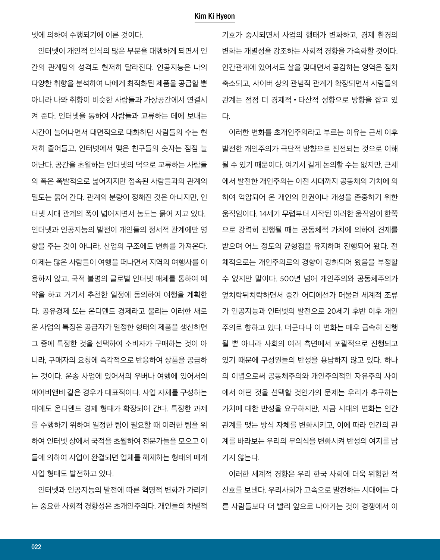넷에 의하여 수행되기에 이른 것이다.

 인터넷이 개인적 인식의 많은 부분을 대행하게 되면서 인 간의 관계망의 성격도 현저히 달라진다. 인공지능은 나의 다양한 취향을 분석하여 나에게 최적화된 제품을 공급할 뿐 아니라 나와 취향이 비슷한 사람들과 가상공간에서 연결시 켜 준다. 인터넷을 통하여 사람들과 교류하는 데에 보내는 시간이 늘어나면서 대면적으로 대화하던 사람들의 수는 현 저히 줄어들고, 인터넷에서 맺은 친구들의 숫자는 점점 늘 어난다. 공간을 초월하는 인터넷의 덕으로 교류하는 사람들 의 폭은 폭발적으로 넓어지지만 접속된 사람들과의 관계의 밀도는 묽어 간다. 관계의 분량이 정해진 것은 아니지만, 인 터넷 시대 관계의 폭이 넓어지면서 농도는 묽어 지고 있다. 인터넷과 인공지능의 발전이 개인들의 정서적 관계에만 영 향을 주는 것이 아니라, 산업의 구조에도 변화를 가져온다. 이제는 많은 사람들이 여행을 떠나면서 지역의 여행사를 이 용하지 않고, 국적 불명의 글로벌 인터넷 매체를 통하여 예 약을 하고 거기서 추천한 일정에 동의하여 여행을 계획한 다. 공유경제 또는 온디멘드 경제라고 불리는 이러한 새로 운 사업의 특징은 공급자가 일정한 형태의 제품을 생산하면 그 중에 특정한 것을 선택하여 소비자가 구매하는 것이 아 니라, 구매자의 요청에 즉각적으로 반응하여 상품을 공급하 는 것이다. 운송 사업에 있어서의 우버나 여행에 있어서의 에어비앤비 같은 경우가 대표적이다. 사업 자체를 구성하는 데에도 온디멘드 경제 형태가 확장되어 간다. 특정한 과제 를 수행하기 위하여 일정한 팀이 필요할 때 이러한 팀을 위 하여 인터넷 상에서 국적을 초월하여 전문가들을 모으고 이 들에 의하여 사업이 완결되면 업체를 해체하는 형태의 매개 사업 형태도 발전하고 있다.

 인터넷과 인공지능의 발전에 따른 혁명적 변화가 가리키 는 중요한 사회적 경향성은 초개인주의다. 개인들의 차별적 기호가 중시되면서 사업의 행태가 변화하고, 경제 환경의 변화는 개별성을 강조하는 사회적 경향을 가속화할 것이다. 인간관계에 있어서도 살을 맞대면서 공감하는 영역은 점차 축소되고, 사이버 상의 관념적 관계가 확장되면서 사람들의 관계는 점점 더 경제적•타산적 성향으로 방향을 잡고 있 다.

 이러한 변화를 초개인주의라고 부르는 이유는 근세 이후 발전한 개인주의가 극단적 방향으로 진전되는 것으로 이해 될 수 있기 때문이다. 여기서 길게 논의할 수는 없지만, 근세 에서 발전한 개인주의는 이전 시대까지 공동체의 가치에 의 하여 억압되어 온 개인의 인권이나 개성을 존중하기 위한 움직임이다. 14세기 무렵부터 시작된 이러한 움직임이 한쪽 으로 강력히 진행될 때는 공동체적 가치에 의하여 견제를 받으며 어느 정도의 균형점을 유지하며 진행되어 왔다. 전 체적으로는 개인주의로의 경향이 강화되어 왔음을 부정할 수 없지만 말이다. 500년 넘어 개인주의와 공동체주의가 엎치락뒤치락하면서 중간 어디에선가 머물던 세계적 조류 가 인공지능과 인터넷의 발전으로 20세기 후반 이후 개인 주의로 향하고 있다. 더군다나 이 변화는 매우 급속히 진행 될 뿐 아니라 사회의 여러 측면에서 포괄적으로 진행되고 있기 때문에 구성원들의 반성을 용납하지 않고 있다. 하나 의 이념으로써 공동체주의와 개인주의적인 자유주의 사이 에서 어떤 것을 선택할 것인가의 문제는 우리가 추구하는 가치에 대한 반성을 요구하지만, 지금 시대의 변화는 인간 관계를 맺는 방식 자체를 변화시키고, 이에 따라 인간의 관 계를 바라보는 우리의 무의식을 변화시켜 반성의 여지를 남 기지 않는다.

 이러한 세계적 경향은 우리 한국 사회에 더욱 위험한 적 신호를 보낸다. 우리사회가 고속으로 발전하는 시대에는 다 른 사람들보다 더 빨리 앞으로 나아가는 것이 경쟁에서 이

022